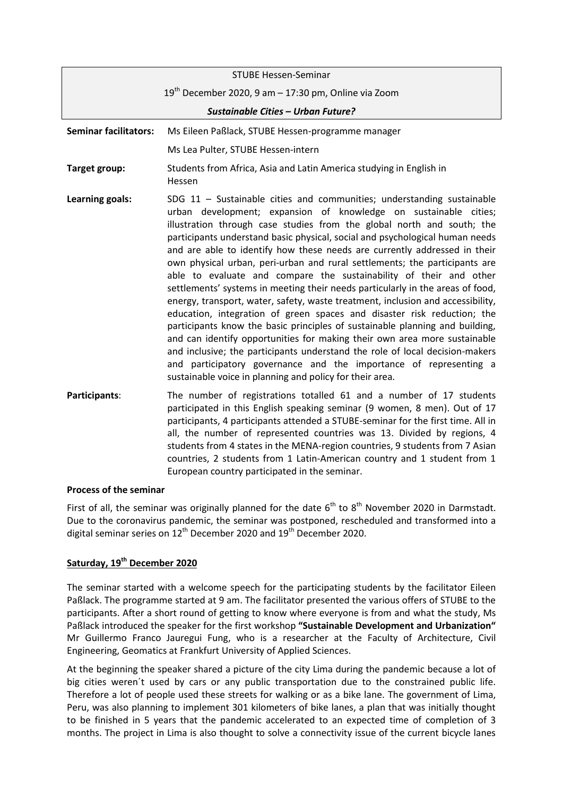|                                    | <b>STUBE Hessen-Seminar</b>                                                                                                                                                                                                                                                                                                                                                                                                                                                                                                                                                                                                                                                                                                                                                                                                                                                                                                                                                                                                                                                                                                                                           |
|------------------------------------|-----------------------------------------------------------------------------------------------------------------------------------------------------------------------------------------------------------------------------------------------------------------------------------------------------------------------------------------------------------------------------------------------------------------------------------------------------------------------------------------------------------------------------------------------------------------------------------------------------------------------------------------------------------------------------------------------------------------------------------------------------------------------------------------------------------------------------------------------------------------------------------------------------------------------------------------------------------------------------------------------------------------------------------------------------------------------------------------------------------------------------------------------------------------------|
|                                    | $19th$ December 2020, 9 am – 17:30 pm, Online via Zoom                                                                                                                                                                                                                                                                                                                                                                                                                                                                                                                                                                                                                                                                                                                                                                                                                                                                                                                                                                                                                                                                                                                |
| Sustainable Cities - Urban Future? |                                                                                                                                                                                                                                                                                                                                                                                                                                                                                                                                                                                                                                                                                                                                                                                                                                                                                                                                                                                                                                                                                                                                                                       |
| <b>Seminar facilitators:</b>       | Ms Eileen Paßlack, STUBE Hessen-programme manager                                                                                                                                                                                                                                                                                                                                                                                                                                                                                                                                                                                                                                                                                                                                                                                                                                                                                                                                                                                                                                                                                                                     |
|                                    | Ms Lea Pulter, STUBE Hessen-intern                                                                                                                                                                                                                                                                                                                                                                                                                                                                                                                                                                                                                                                                                                                                                                                                                                                                                                                                                                                                                                                                                                                                    |
| Target group:                      | Students from Africa, Asia and Latin America studying in English in<br>Hessen                                                                                                                                                                                                                                                                                                                                                                                                                                                                                                                                                                                                                                                                                                                                                                                                                                                                                                                                                                                                                                                                                         |
| Learning goals:                    | SDG $11$ - Sustainable cities and communities; understanding sustainable<br>urban development; expansion of knowledge on sustainable cities;<br>illustration through case studies from the global north and south; the<br>participants understand basic physical, social and psychological human needs<br>and are able to identify how these needs are currently addressed in their<br>own physical urban, peri-urban and rural settlements; the participants are<br>able to evaluate and compare the sustainability of their and other<br>settlements' systems in meeting their needs particularly in the areas of food,<br>energy, transport, water, safety, waste treatment, inclusion and accessibility,<br>education, integration of green spaces and disaster risk reduction; the<br>participants know the basic principles of sustainable planning and building,<br>and can identify opportunities for making their own area more sustainable<br>and inclusive; the participants understand the role of local decision-makers<br>and participatory governance and the importance of representing a<br>sustainable voice in planning and policy for their area. |
| Participants:                      | The number of registrations totalled 61 and a number of 17 students<br>participated in this English speaking seminar (9 women, 8 men). Out of 17<br>participants, 4 participants attended a STUBE-seminar for the first time. All in<br>all, the number of represented countries was 13. Divided by regions, 4<br>students from 4 states in the MENA-region countries, 9 students from 7 Asian                                                                                                                                                                                                                                                                                                                                                                                                                                                                                                                                                                                                                                                                                                                                                                        |

## **Process of the seminar**

First of all, the seminar was originally planned for the date  $6<sup>th</sup>$  to  $8<sup>th</sup>$  November 2020 in Darmstadt. Due to the coronavirus pandemic, the seminar was postponed, rescheduled and transformed into a digital seminar series on 12<sup>th</sup> December 2020 and 19<sup>th</sup> December 2020.

European country participated in the seminar.

countries, 2 students from 1 Latin-American country and 1 student from 1

## **Saturday, 19 th December 2020**

The seminar started with a welcome speech for the participating students by the facilitator Eileen Paßlack. The programme started at 9 am. The facilitator presented the various offers of STUBE to the participants. After a short round of getting to know where everyone is from and what the study, Ms Paßlack introduced the speaker for the first workshop **"Sustainable Development and Urbanization"** Mr Guillermo Franco Jauregui Fung, who is a researcher at the Faculty of Architecture, Civil Engineering, Geomatics at Frankfurt University of Applied Sciences.

At the beginning the speaker shared a picture of the city Lima during the pandemic because a lot of big cities weren´t used by cars or any public transportation due to the constrained public life. Therefore a lot of people used these streets for walking or as a bike lane. The government of Lima, Peru, was also planning to implement 301 kilometers of bike lanes, a plan that was initially thought to be finished in 5 years that the pandemic accelerated to an expected time of completion of 3 months. The project in Lima is also thought to solve a connectivity issue of the current bicycle lanes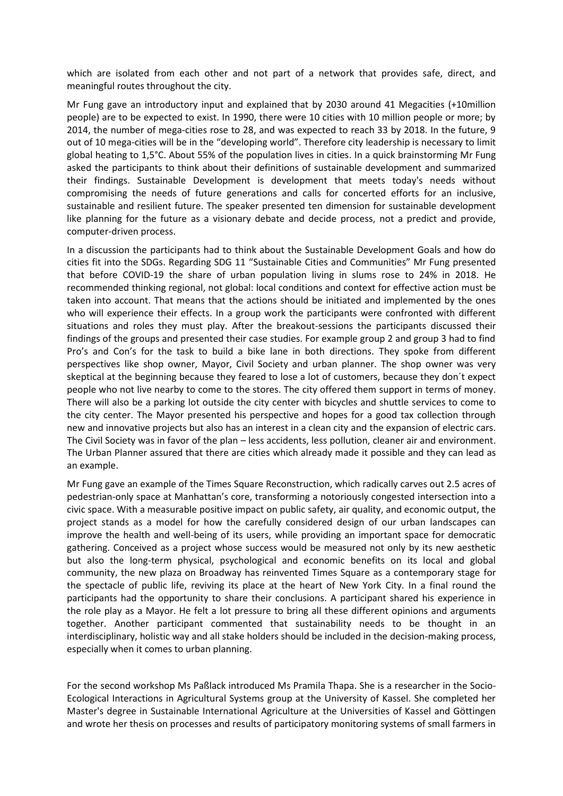which are isolated from each other and not part of a network that provides safe, direct, and meaningful routes throughout the city.

Mr Fung gave an introductory input and explained that by 2030 around 41 Megacities (+10million people) are to be expected to exist. In 1990, there were 10 cities with 10 million people or more; by 2014, the number of mega-cities rose to 28, and was expected to reach 33 by 2018. In the future, 9 out of 10 mega-cities will be in the "developing world". Therefore city leadership is necessary to limit global heating to 1,5°C. About 55% of the population lives in cities. In a quick brainstorming Mr Fung asked the participants to think about their definitions of sustainable development and summarized their findings. Sustainable Development is development that meets today's needs without compromising the needs of future generations and calls for concerted efforts for an inclusive, sustainable and resilient future. The speaker presented ten dimension for sustainable development like planning for the future as a visionary debate and decide process, not a predict and provide, computer-driven process.

In a discussion the participants had to think about the Sustainable Development Goals and how do cities fit into the SDGs. Regarding SDG 11 "Sustainable Cities and Communities" Mr Fung presented that before COVID-19 the share of urban population living in slums rose to 24% in 2018. He recommended thinking regional, not global: local conditions and context for effective action must be taken into account. That means that the actions should be initiated and implemented by the ones who will experience their effects. In a group work the participants were confronted with different situations and roles they must play. After the breakout-sessions the participants discussed their findings of the groups and presented their case studies. For example group 2 and group 3 had to find Pro's and Con's for the task to build a bike lane in both directions. They spoke from different perspectives like shop owner, Mayor, Civil Society and urban planner. The shop owner was very skeptical at the beginning because they feared to lose a lot of customers, because they don´t expect people who not live nearby to come to the stores. The city offered them support in terms of money. There will also be a parking lot outside the city center with bicycles and shuttle services to come to the city center. The Mayor presented his perspective and hopes for a good tax collection through new and innovative projects but also has an interest in a clean city and the expansion of electric cars. The Civil Society was in favor of the plan – less accidents, less pollution, cleaner air and environment. The Urban Planner assured that there are cities which already made it possible and they can lead as an example.

Mr Fung gave an example of the Times Square Reconstruction, which radically carves out 2.5 acres of pedestrian-only space at Manhattan's core, transforming a notoriously congested intersection into a civic space. With a measurable positive impact on public safety, air quality, and economic output, the project stands as a model for how the carefully considered design of our urban landscapes can improve the health and well-being of its users, while providing an important space for democratic gathering. Conceived as a project whose success would be measured not only by its new aesthetic but also the long-term physical, psychological and economic benefits on its local and global community, the new plaza on Broadway has reinvented Times Square as a contemporary stage for the spectacle of public life, reviving its place at the heart of New York City. In a final round the participants had the opportunity to share their conclusions. A participant shared his experience in the role play as a Mayor. He felt a lot pressure to bring all these different opinions and arguments together. Another participant commented that sustainability needs to be thought in an interdisciplinary, holistic way and all stake holders should be included in the decision-making process, especially when it comes to urban planning.

For the second workshop Ms Paßlack introduced Ms Pramila Thapa. She is a researcher in the Socio-Ecological Interactions in Agricultural Systems group at the University of Kassel. She completed her Master's degree in Sustainable International Agriculture at the Universities of Kassel and Göttingen and wrote her thesis on processes and results of participatory monitoring systems of small farmers in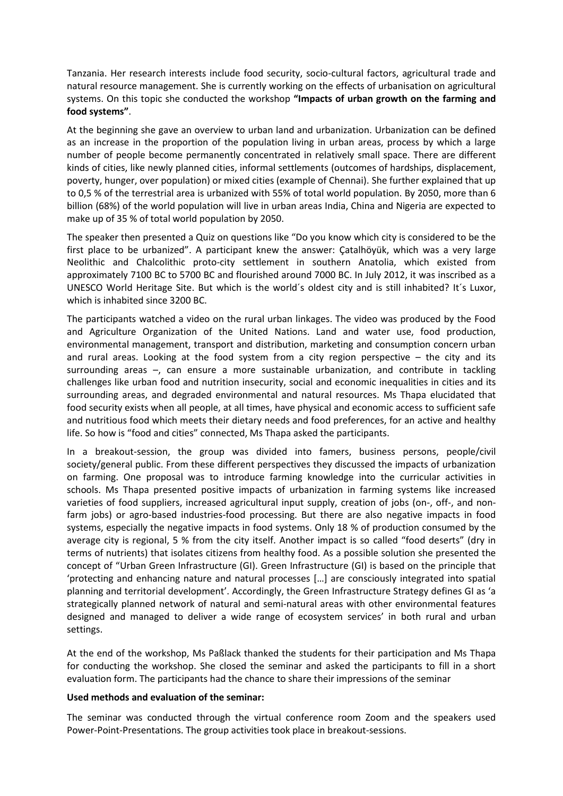Tanzania. Her research interests include food security, socio-cultural factors, agricultural trade and natural resource management. She is currently working on the effects of urbanisation on agricultural systems. On this topic she conducted the workshop **"Impacts of urban growth on the farming and food systems"**.

At the beginning she gave an overview to urban land and urbanization. Urbanization can be defined as an increase in the proportion of the population living in urban areas, process by which a large number of people become permanently concentrated in relatively small space. There are different kinds of cities, like newly planned cities, informal settlements (outcomes of hardships, displacement, poverty, hunger, over population) or mixed cities (example of Chennai). She further explained that up to 0,5 % of the terrestrial area is urbanized with 55% of total world population. By 2050, more than 6 billion (68%) of the world population will live in urban areas India, China and Nigeria are expected to make up of 35 % of total world population by 2050.

The speaker then presented a Quiz on questions like "Do you know which city is considered to be the first place to be urbanized". A participant knew the answer: Çatalhöyük, which was a very large [Neolithic](https://en.wikipedia.org/wiki/Neolithic) and [Chalcolithic](https://en.wikipedia.org/wiki/Chalcolithic) [proto-city](https://en.wikipedia.org/wiki/Proto-city) settlement in southern [Anatolia,](https://en.wikipedia.org/wiki/Anatolia) which existed from approximately 7100 BC to 5700 BC and flourished around 7000 BC. In July 2012, it was inscribed as a [UNESCO World Heritage Site.](https://en.wikipedia.org/wiki/UNESCO_World_Heritage_Site) But which is the world´s oldest city and is still inhabited? It´s Luxor, which is inhabited since 3200 BC.

The participants watched a video on the rural urban linkages. The video was produced by the Food and Agriculture Organization of the United Nations. Land and water use, food production, environmental management, transport and distribution, marketing and consumption concern urban and rural areas. Looking at the food system from a city region perspective – the city and its surrounding areas –, can ensure a more sustainable urbanization, and contribute in tackling challenges like urban food and nutrition insecurity, social and economic inequalities in cities and its surrounding areas, and degraded environmental and natural resources. Ms Thapa elucidated that food security exists when all people, at all times, have physical and economic access to sufficient safe and nutritious food which meets their dietary needs and food preferences, for an active and healthy life. So how is "food and cities" connected, Ms Thapa asked the participants.

In a breakout-session, the group was divided into famers, business persons, people/civil society/general public. From these different perspectives they discussed the impacts of urbanization on farming. One proposal was to introduce farming knowledge into the curricular activities in schools. Ms Thapa presented positive impacts of urbanization in farming systems like increased varieties of food suppliers, increased agricultural input supply, creation of jobs (on-, off-, and nonfarm jobs) or agro-based industries-food processing. But there are also negative impacts in food systems, especially the negative impacts in food systems. Only 18 % of production consumed by the average city is regional, 5 % from the city itself. Another impact is so called "food deserts" (dry in terms of nutrients) that isolates citizens from healthy food. As a possible solution she presented the concept of "Urban Green Infrastructure (GI). Green Infrastructure (GI) is based on the principle that 'protecting and enhancing nature and natural processes […] are consciously integrated into spatial planning and territorial development'. Accordingly, the Green Infrastructure Strategy defines GI as 'a strategically planned network of natural and semi-natural areas with other environmental features designed and managed to deliver a wide range of ecosystem services' in both rural and urban settings.

At the end of the workshop, Ms Paßlack thanked the students for their participation and Ms Thapa for conducting the workshop. She closed the seminar and asked the participants to fill in a short evaluation form. The participants had the chance to share their impressions of the seminar

## **Used methods and evaluation of the seminar:**

The seminar was conducted through the virtual conference room Zoom and the speakers used Power-Point-Presentations. The group activities took place in breakout-sessions.